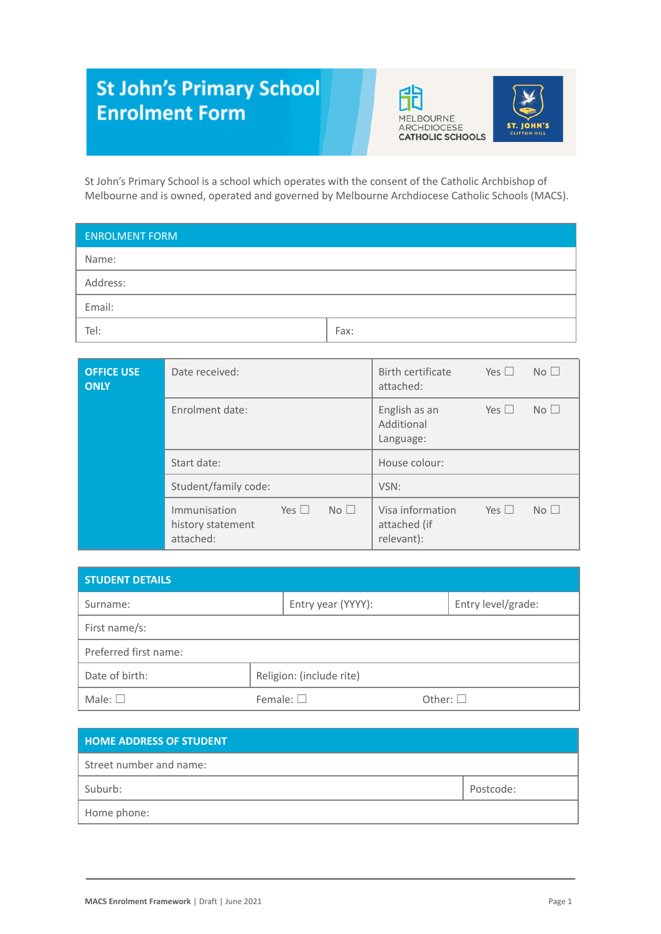# **St John's Primary School Enrolment Form**





St John's Primary School is a school which operates with the consent of the Catholic Archbishop of Melbourne and is owned, operated and governed by Melbourne Archdiocese Catholic Schools (MACS).

| <b>ENROLMENT FORM</b> |      |  |  |  |
|-----------------------|------|--|--|--|
| Name:                 |      |  |  |  |
| Address:              |      |  |  |  |
| Email:                |      |  |  |  |
| Tel:                  | Fax: |  |  |  |

| <b>OFFICE USE</b><br><b>ONLY</b> | Date received:                                                                     | Birth certificate<br>Yes $\square$<br>No <sup>1</sup><br>attached:              |
|----------------------------------|------------------------------------------------------------------------------------|---------------------------------------------------------------------------------|
|                                  | Enrolment date:                                                                    | No <sub>1</sub><br>Yes $\Box$<br>English as an<br>Additional<br>Language:       |
|                                  | Start date:                                                                        | House colour:                                                                   |
|                                  | Student/family code:                                                               | VSN:                                                                            |
|                                  | No <sub>1</sub><br>Yes $\square$<br>Immunisation<br>history statement<br>attached: | Visa information<br>No <sub>1</sub><br>Yes $\Box$<br>attached (if<br>relevant): |

| <b>STUDENT DETAILS</b>                     |                   |                    |               |                    |  |  |
|--------------------------------------------|-------------------|--------------------|---------------|--------------------|--|--|
| Surname:                                   |                   | Entry year (YYYY): |               | Entry level/grade: |  |  |
| First name/s:                              |                   |                    |               |                    |  |  |
| Preferred first name:                      |                   |                    |               |                    |  |  |
| Date of birth:<br>Religion: (include rite) |                   |                    |               |                    |  |  |
| Male: $\square$                            | Female: $\square$ |                    | Other: $\Box$ |                    |  |  |

| <b>HOME ADDRESS OF STUDENT</b> |           |
|--------------------------------|-----------|
| Street number and name:        |           |
| Suburb:                        | Postcode: |
| Home phone:                    |           |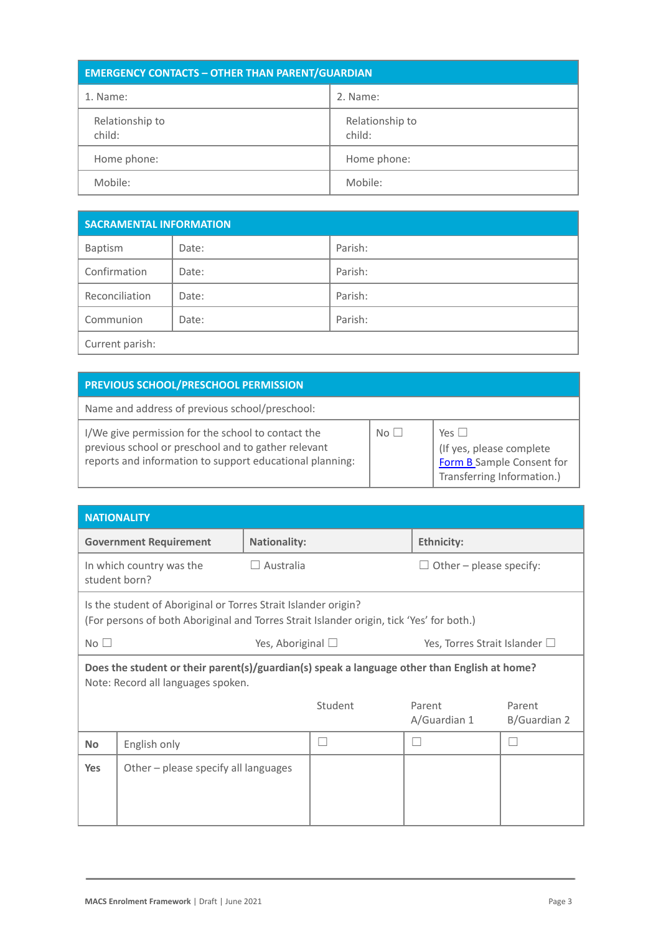| <b>EMERGENCY CONTACTS - OTHER THAN PARENT/GUARDIAN</b> |                           |  |  |
|--------------------------------------------------------|---------------------------|--|--|
| 1. Name:                                               | 2. Name:                  |  |  |
| Relationship to<br>child:                              | Relationship to<br>child: |  |  |
| Home phone:                                            | Home phone:               |  |  |
| Mobile:                                                | Mobile:                   |  |  |

| <b>SACRAMENTAL INFORMATION</b> |       |         |  |  |
|--------------------------------|-------|---------|--|--|
| Baptism                        | Date: | Parish: |  |  |
| Confirmation                   | Date: | Parish: |  |  |
| Reconciliation                 | Date: | Parish: |  |  |
| Communion                      | Date: | Parish: |  |  |
| Current parish:                |       |         |  |  |

No  $\square$ 

# **PREVIOUS SCHOOL/PRESCHOOL PERMISSION**

Name and address of previous school/preschool:

I/We give permission for the school to contact the previous school or preschool and to gather relevant reports and information to support educational planning:

| $Yes \Box$                 |
|----------------------------|
| (If yes, please complete)  |
| Form B Sample Consent for  |
| Transferring Information.) |
|                            |

| <b>NATIONALITY</b>                                                                                                                                                                                                 |                                           |                     |         |                        |                         |  |
|--------------------------------------------------------------------------------------------------------------------------------------------------------------------------------------------------------------------|-------------------------------------------|---------------------|---------|------------------------|-------------------------|--|
|                                                                                                                                                                                                                    | <b>Government Requirement</b>             | <b>Nationality:</b> |         | <b>Ethnicity:</b>      |                         |  |
|                                                                                                                                                                                                                    | In which country was the<br>student born? | Australia           |         |                        | Other - please specify: |  |
| Is the student of Aboriginal or Torres Strait Islander origin?<br>(For persons of both Aboriginal and Torres Strait Islander origin, tick 'Yes' for both.)                                                         |                                           |                     |         |                        |                         |  |
| No $\square$<br>Yes, Aboriginal $\Box$<br>Yes, Torres Strait Islander $\Box$<br>Does the student or their parent(s)/guardian(s) speak a language other than English at home?<br>Note: Record all languages spoken. |                                           |                     |         |                        |                         |  |
|                                                                                                                                                                                                                    |                                           |                     | Student | Parent<br>A/Guardian 1 | Parent<br>B/Guardian 2  |  |
| <b>No</b>                                                                                                                                                                                                          | English only                              |                     | П       |                        |                         |  |
| <b>Yes</b>                                                                                                                                                                                                         | Other - please specify all languages      |                     |         |                        |                         |  |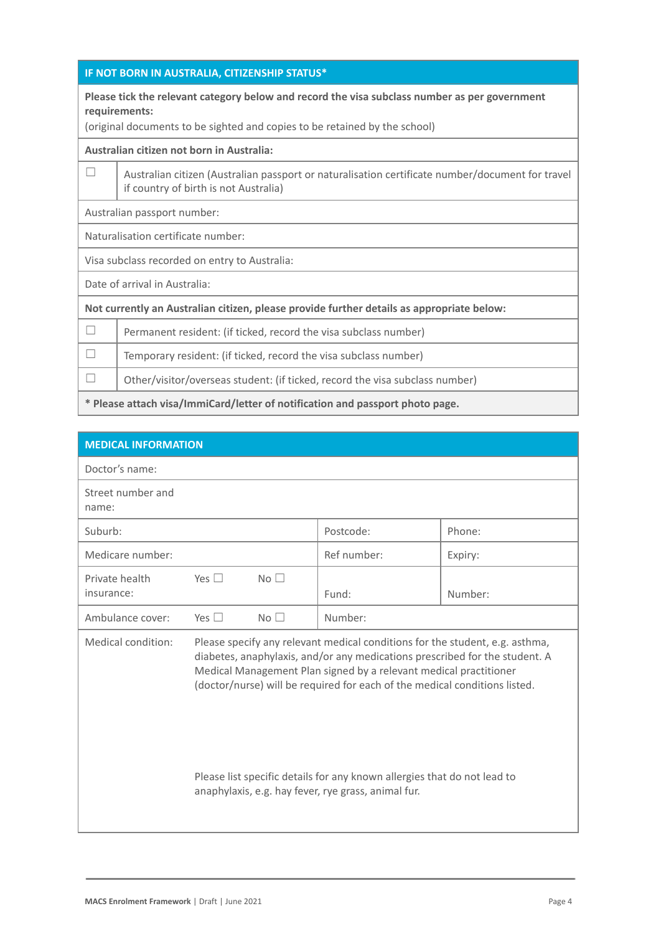## **IF NOT BORN IN AUSTRALIA, CITIZENSHIP STATUS\***

#### **Please tick the relevant category below and record the visa subclass number as per government requirements:**

(original documents to be sighted and copies to be retained by the school)

#### **Australian citizen not born in Australia:**

 $\Box$  Australian citizen (Australian passport or naturalisation certificate number/document for travel if country of birth is not Australia)

Australian passport number:

Naturalisation certificate number:

Visa subclass recorded on entry to Australia:

Date of arrival in Australia:

**Not currently an Australian citizen, please provide further details as appropriate below:**

 $\Box$  Permanent resident: (if ticked, record the visa subclass number)

 $\Box$  Temporary resident: (if ticked, record the visa subclass number)

 $\Box$  Other/visitor/overseas student: (if ticked, record the visa subclass number)

**\* Please attach visa/ImmiCard/letter of notification and passport photo page.**

| <b>MEDICAL INFORMATION</b>   |               |                 |                                                                                                                                                                                                                                                                                                                |         |
|------------------------------|---------------|-----------------|----------------------------------------------------------------------------------------------------------------------------------------------------------------------------------------------------------------------------------------------------------------------------------------------------------------|---------|
| Doctor's name:               |               |                 |                                                                                                                                                                                                                                                                                                                |         |
| Street number and<br>name:   |               |                 |                                                                                                                                                                                                                                                                                                                |         |
| Suburb:                      |               |                 | Postcode:                                                                                                                                                                                                                                                                                                      | Phone:  |
| Medicare number:             |               |                 | Ref number:                                                                                                                                                                                                                                                                                                    | Expiry: |
| Private health<br>insurance: | Yes $\Box$    | No <sub>1</sub> | Fund:                                                                                                                                                                                                                                                                                                          | Number: |
| Ambulance cover:             | Yes $\square$ | $No$ $\Box$     | Number:                                                                                                                                                                                                                                                                                                        |         |
| Medical condition:           |               |                 | Please specify any relevant medical conditions for the student, e.g. asthma,<br>diabetes, anaphylaxis, and/or any medications prescribed for the student. A<br>Medical Management Plan signed by a relevant medical practitioner<br>(doctor/nurse) will be required for each of the medical conditions listed. |         |
|                              |               |                 | Please list specific details for any known allergies that do not lead to<br>anaphylaxis, e.g. hay fever, rye grass, animal fur.                                                                                                                                                                                |         |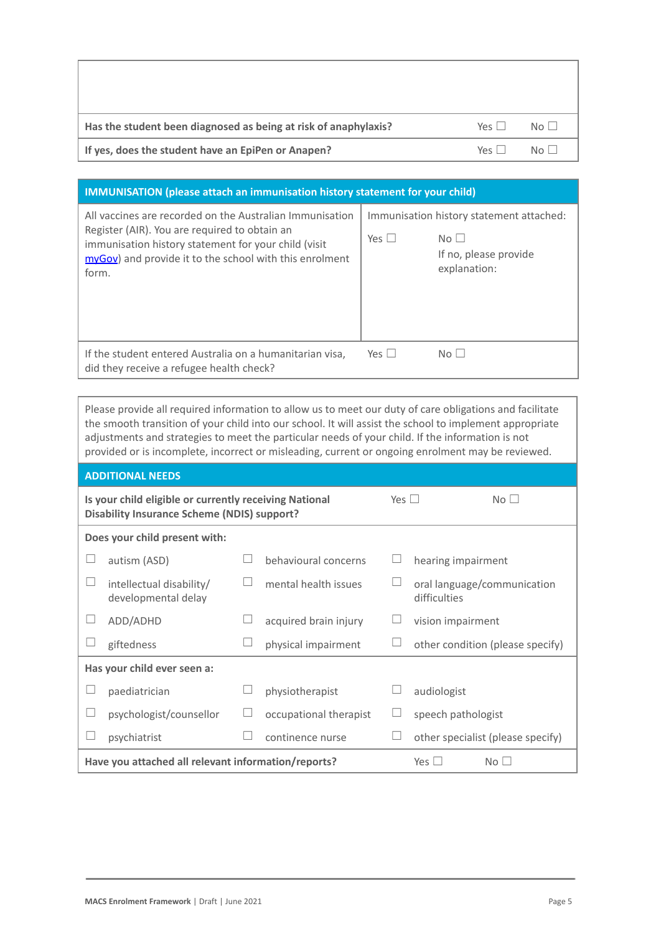| Has the student been diagnosed as being at risk of anaphylaxis? | $Y_{PS}$           | $N_O$    |
|-----------------------------------------------------------------|--------------------|----------|
| If yes, does the student have an EpiPen or Anapen?              | $Y \cap \varsigma$ | $N \cap$ |

#### **IMMUNISATION (please attach an immunisation history statement for your child)** All vaccines are recorded on the Australian Immunisation Immunisation history statement attached:

| All vaccines are recorded on the Australian immunisation.<br>Register (AIR). You are required to obtain an<br>immunisation history statement for your child (visit<br>myGov) and provide it to the school with this enrolment<br>form. | Yes $\Box$ | Immunisation history statement attached:<br>$No$ $\Box$<br>If no, please provide<br>explanation: |
|----------------------------------------------------------------------------------------------------------------------------------------------------------------------------------------------------------------------------------------|------------|--------------------------------------------------------------------------------------------------|
| If the student entered Australia on a humanitarian visa,<br>did they receive a refugee health check?                                                                                                                                   | Yes $\Box$ | No                                                                                               |

Please provide all required information to allow us to meet our duty of care obligations and facilitate the smooth transition of your child into our school. It will assist the school to implement appropriate adjustments and strategies to meet the particular needs of your child. If the information is not provided or is incomplete, incorrect or misleading, current or ongoing enrolment may be reviewed.

| <b>ADDITIONAL NEEDS</b>                                                                                                    |                                                                                      |  |                        |                          |                                             |  |  |
|----------------------------------------------------------------------------------------------------------------------------|--------------------------------------------------------------------------------------|--|------------------------|--------------------------|---------------------------------------------|--|--|
| Is your child eligible or currently receiving National<br>Yes $\Box$<br><b>Disability Insurance Scheme (NDIS) support?</b> |                                                                                      |  |                        |                          | $No$ $\Box$                                 |  |  |
|                                                                                                                            | Does your child present with:                                                        |  |                        |                          |                                             |  |  |
|                                                                                                                            | autism (ASD)                                                                         |  | behavioural concerns   |                          | hearing impairment                          |  |  |
|                                                                                                                            | intellectual disability/<br>developmental delay                                      |  | mental health issues   | $\overline{\phantom{a}}$ | oral language/communication<br>difficulties |  |  |
|                                                                                                                            | ADD/ADHD                                                                             |  | acquired brain injury  |                          | vision impairment                           |  |  |
|                                                                                                                            | giftedness                                                                           |  | physical impairment    |                          | other condition (please specify)            |  |  |
|                                                                                                                            | Has your child ever seen a:                                                          |  |                        |                          |                                             |  |  |
|                                                                                                                            | paediatrician                                                                        |  | physiotherapist        |                          | audiologist                                 |  |  |
|                                                                                                                            | psychologist/counsellor                                                              |  | occupational therapist | ப                        | speech pathologist                          |  |  |
|                                                                                                                            | psychiatrist                                                                         |  | continence nurse       |                          | other specialist (please specify)           |  |  |
|                                                                                                                            | Have you attached all relevant information/reports?<br>Yes $\Box$<br>No <sub>l</sub> |  |                        |                          |                                             |  |  |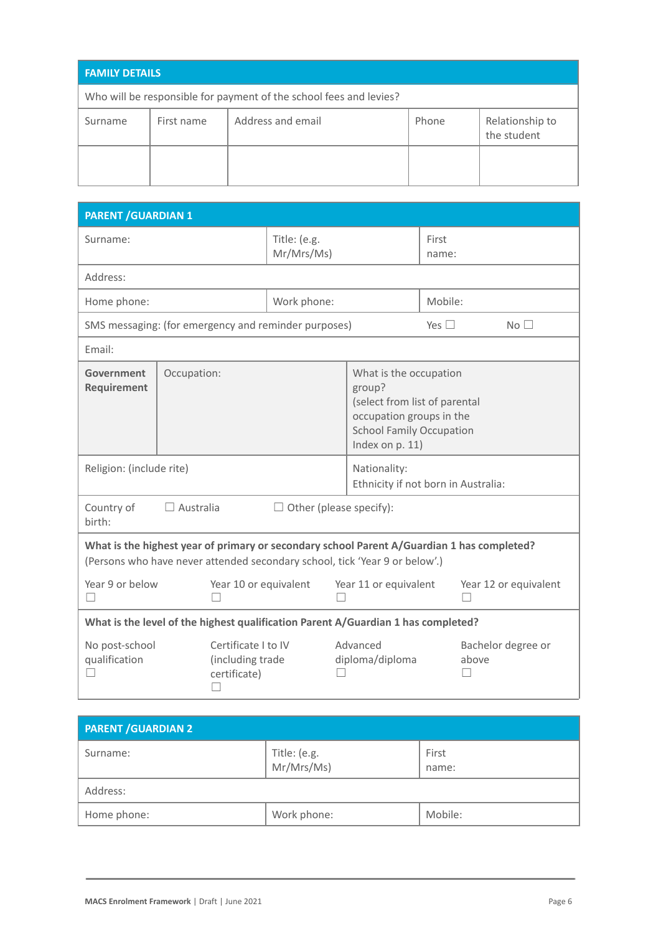| <b>FAMILY DETAILS</b>                                              |            |                   |       |                                |
|--------------------------------------------------------------------|------------|-------------------|-------|--------------------------------|
| Who will be responsible for payment of the school fees and levies? |            |                   |       |                                |
| Surname                                                            | First name | Address and email | Phone | Relationship to<br>the student |
|                                                                    |            |                   |       |                                |

| <b>PARENT / GUARDIAN 1</b>                                                                                                                                                |                                                      |              |                                                                                                                                                     |                                                     |                |                             |
|---------------------------------------------------------------------------------------------------------------------------------------------------------------------------|------------------------------------------------------|--------------|-----------------------------------------------------------------------------------------------------------------------------------------------------|-----------------------------------------------------|----------------|-----------------------------|
| Surname:                                                                                                                                                                  |                                                      | Title: (e.g. | Mr/Mrs/Ms)                                                                                                                                          |                                                     | First<br>name: |                             |
| Address:                                                                                                                                                                  |                                                      |              |                                                                                                                                                     |                                                     |                |                             |
| Home phone:                                                                                                                                                               |                                                      |              | Work phone:                                                                                                                                         |                                                     | Mobile:        |                             |
|                                                                                                                                                                           | SMS messaging: (for emergency and reminder purposes) |              |                                                                                                                                                     |                                                     | Yes $\square$  | No <sub>1</sub>             |
| Email:                                                                                                                                                                    |                                                      |              |                                                                                                                                                     |                                                     |                |                             |
| Government<br>Requirement                                                                                                                                                 | Occupation:                                          |              | What is the occupation<br>group?<br>(select from list of parental<br>occupation groups in the<br><b>School Family Occupation</b><br>Index on p. 11) |                                                     |                |                             |
| Religion: (include rite)                                                                                                                                                  |                                                      |              |                                                                                                                                                     | Nationality:<br>Ethnicity if not born in Australia: |                |                             |
| Country of<br>$\Box$ Australia<br>$\Box$ Other (please specify):<br>birth:                                                                                                |                                                      |              |                                                                                                                                                     |                                                     |                |                             |
| What is the highest year of primary or secondary school Parent A/Guardian 1 has completed?<br>(Persons who have never attended secondary school, tick 'Year 9 or below'.) |                                                      |              |                                                                                                                                                     |                                                     |                |                             |
| Year 9 or below<br>Year 10 or equivalent<br>$\overline{\phantom{a}}$                                                                                                      |                                                      |              | Year 11 or equivalent                                                                                                                               |                                                     |                | Year 12 or equivalent       |
| What is the level of the highest qualification Parent A/Guardian 1 has completed?                                                                                         |                                                      |              |                                                                                                                                                     |                                                     |                |                             |
| No post-school<br>Certificate I to IV<br>qualification<br>(including trade<br>certificate)<br>П                                                                           |                                                      |              |                                                                                                                                                     | Advanced<br>diploma/diploma                         |                | Bachelor degree or<br>above |

| <b>PARENT / GUARDIAN 2</b>             |             |                |  |
|----------------------------------------|-------------|----------------|--|
| Title: (e.g.<br>Mr/Mrs/Ms)<br>Surname: |             | First<br>name: |  |
| Address:                               |             |                |  |
| Home phone:                            | Work phone: | Mobile:        |  |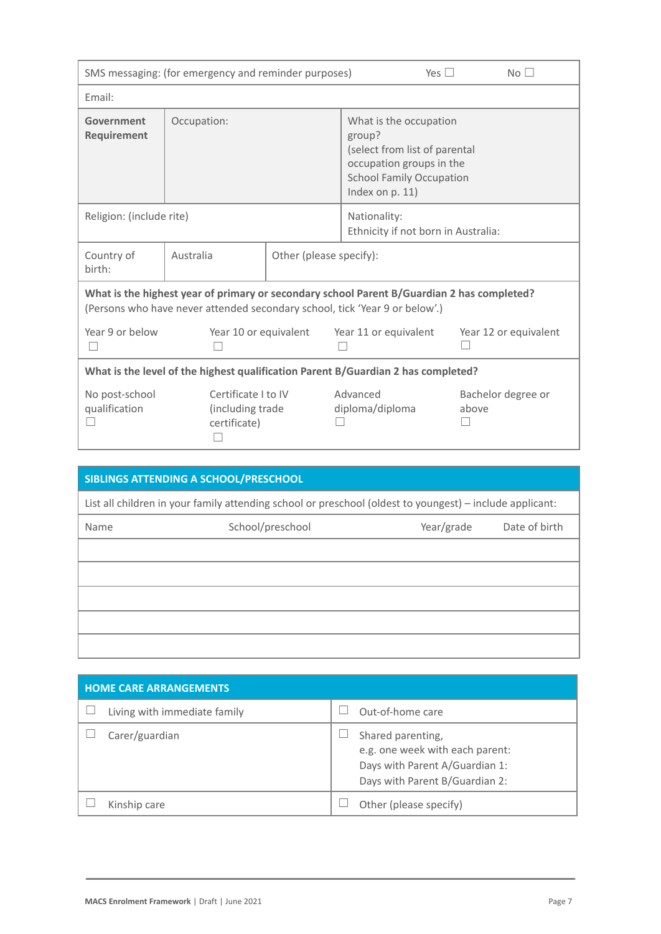| SMS messaging: (for emergency and reminder purposes)                                                                                                                      |                                                         |  | Yes $\Box$                                                                                                                                          | No <sub>1</sub>             |  |
|---------------------------------------------------------------------------------------------------------------------------------------------------------------------------|---------------------------------------------------------|--|-----------------------------------------------------------------------------------------------------------------------------------------------------|-----------------------------|--|
| Email:                                                                                                                                                                    |                                                         |  |                                                                                                                                                     |                             |  |
| Government<br>Requirement                                                                                                                                                 | Occupation:                                             |  | What is the occupation<br>group?<br>(select from list of parental<br>occupation groups in the<br><b>School Family Occupation</b><br>Index on p. 11) |                             |  |
| Religion: (include rite)                                                                                                                                                  |                                                         |  | Nationality:<br>Ethnicity if not born in Australia:                                                                                                 |                             |  |
| Country of<br>birth:                                                                                                                                                      | Australia<br>Other (please specify):                    |  |                                                                                                                                                     |                             |  |
| What is the highest year of primary or secondary school Parent B/Guardian 2 has completed?<br>(Persons who have never attended secondary school, tick 'Year 9 or below'.) |                                                         |  |                                                                                                                                                     |                             |  |
| Year 9 or below                                                                                                                                                           | Year 10 or equivalent                                   |  | Year 11 or equivalent                                                                                                                               | Year 12 or equivalent       |  |
| What is the level of the highest qualification Parent B/Guardian 2 has completed?                                                                                         |                                                         |  |                                                                                                                                                     |                             |  |
| No post-school<br>qualification                                                                                                                                           | Certificate I to IV<br>(including trade<br>certificate) |  | Advanced<br>diploma/diploma                                                                                                                         | Bachelor degree or<br>above |  |

|                                                                                                          | SIBLINGS ATTENDING A SCHOOL/PRESCHOOL |            |               |  |
|----------------------------------------------------------------------------------------------------------|---------------------------------------|------------|---------------|--|
| List all children in your family attending school or preschool (oldest to youngest) – include applicant: |                                       |            |               |  |
| Name                                                                                                     | School/preschool                      | Year/grade | Date of birth |  |
|                                                                                                          |                                       |            |               |  |
|                                                                                                          |                                       |            |               |  |
|                                                                                                          |                                       |            |               |  |
|                                                                                                          |                                       |            |               |  |
|                                                                                                          |                                       |            |               |  |

| <b>HOME CARE ARRANGEMENTS</b> |                                                                                                                          |  |  |
|-------------------------------|--------------------------------------------------------------------------------------------------------------------------|--|--|
| Living with immediate family  | Out-of-home care                                                                                                         |  |  |
| Carer/guardian                | Shared parenting,<br>e.g. one week with each parent:<br>Days with Parent A/Guardian 1:<br>Days with Parent B/Guardian 2: |  |  |
| Kinship care                  | Other (please specify)                                                                                                   |  |  |